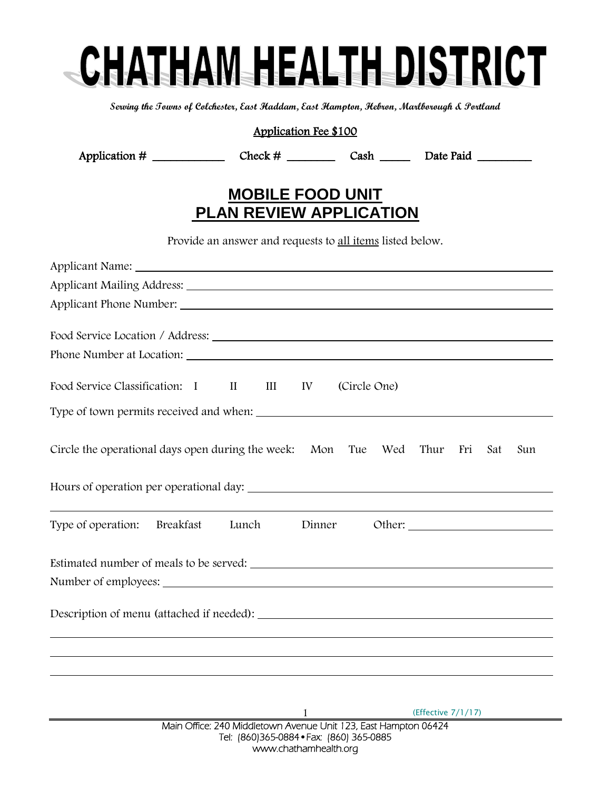## CHATHAM HEALTH DISTRICT

**Serving the Towns of Colchester, East Haddam, East Hampton, Hebron, Marlborough & Portland**

| Application Fee \$100                                                             |  |  |  |  |  |
|-----------------------------------------------------------------------------------|--|--|--|--|--|
|                                                                                   |  |  |  |  |  |
| <b>MOBILE FOOD UNIT</b><br><b>PLAN REVIEW APPLICATION</b>                         |  |  |  |  |  |
| Provide an answer and requests to all items listed below.                         |  |  |  |  |  |
|                                                                                   |  |  |  |  |  |
|                                                                                   |  |  |  |  |  |
|                                                                                   |  |  |  |  |  |
|                                                                                   |  |  |  |  |  |
|                                                                                   |  |  |  |  |  |
| Food Service Classification: I II III IV (Circle One)                             |  |  |  |  |  |
| Type of town permits received and when:                                           |  |  |  |  |  |
| Circle the operational days open during the week: Mon Tue Wed Thur Fri Sat<br>Sun |  |  |  |  |  |
| Hours of operation per operational day:                                           |  |  |  |  |  |
| Type of operation: Breakfast Lunch<br>Dinner                                      |  |  |  |  |  |
| Estimated number of meals to be served:                                           |  |  |  |  |  |
| Description of menu (attached if needed):                                         |  |  |  |  |  |
|                                                                                   |  |  |  |  |  |
|                                                                                   |  |  |  |  |  |
|                                                                                   |  |  |  |  |  |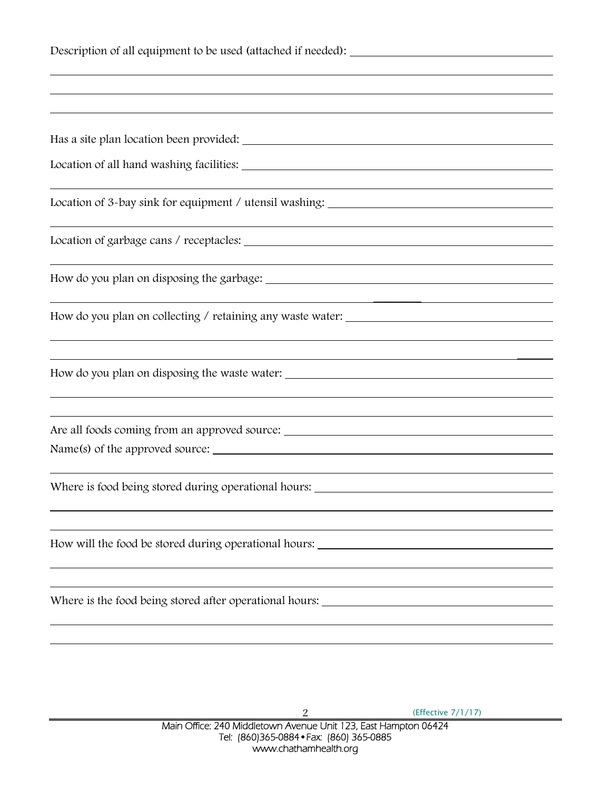| Description of all equipment to be used (attached if needed): __________________ |  |  |  |
|----------------------------------------------------------------------------------|--|--|--|
|                                                                                  |  |  |  |
|                                                                                  |  |  |  |
|                                                                                  |  |  |  |
|                                                                                  |  |  |  |
|                                                                                  |  |  |  |
|                                                                                  |  |  |  |
|                                                                                  |  |  |  |
|                                                                                  |  |  |  |
|                                                                                  |  |  |  |
|                                                                                  |  |  |  |
|                                                                                  |  |  |  |
| Where is food being stored during operational hours: ___________________________ |  |  |  |
|                                                                                  |  |  |  |
|                                                                                  |  |  |  |
| Where is the food being stored after operational hours:                          |  |  |  |
|                                                                                  |  |  |  |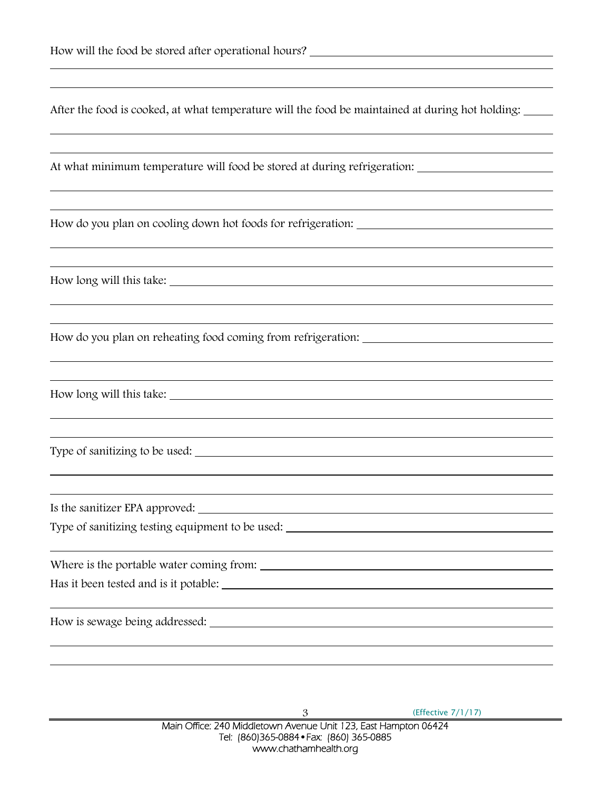|  | After the food is cooked, at what temperature will the food be maintained at during hot holding: |  |
|--|--------------------------------------------------------------------------------------------------|--|
|  |                                                                                                  |  |

At what minimum temperature will food be stored at during refrigeration:

How do you plan on cooling down hot foods for refrigeration:

How long will this take:

How do you plan on reheating food coming from refrigeration:

How long will this take:

Type of sanitizing to be used:

Is the sanitizer EPA approved:

Type of sanitizing testing equipment to be used:

Where is the portable water coming from:

Has it been tested and is it potable:

How is sewage being addressed: